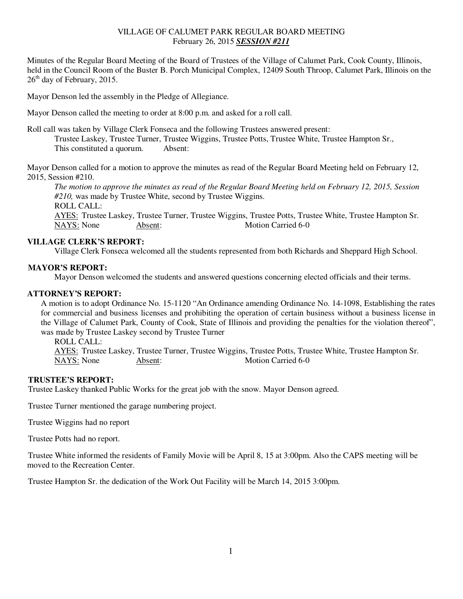# VILLAGE OF CALUMET PARK REGULAR BOARD MEETING February 26, 2015 *SESSION #211*

Minutes of the Regular Board Meeting of the Board of Trustees of the Village of Calumet Park, Cook County, Illinois, held in the Council Room of the Buster B. Porch Municipal Complex, 12409 South Throop, Calumet Park, Illinois on the  $26<sup>th</sup>$  day of February, 2015.

Mayor Denson led the assembly in the Pledge of Allegiance.

Mayor Denson called the meeting to order at 8:00 p.m. and asked for a roll call.

Roll call was taken by Village Clerk Fonseca and the following Trustees answered present:

 Trustee Laskey, Trustee Turner, Trustee Wiggins, Trustee Potts, Trustee White, Trustee Hampton Sr., This constituted a quorum. Absent:

Mayor Denson called for a motion to approve the minutes as read of the Regular Board Meeting held on February 12, 2015, Session #210.

*The motion to approve the minutes as read of the Regular Board Meeting held on February 12, 2015, Session #210,* was made by Trustee White, second by Trustee Wiggins. ROLL CALL:

AYES: Trustee Laskey, Trustee Turner, Trustee Wiggins, Trustee Potts, Trustee White, Trustee Hampton Sr. NAYS: None Absent: Motion Carried 6-0

## **VILLAGE CLERK'S REPORT:**

Village Clerk Fonseca welcomed all the students represented from both Richards and Sheppard High School.

### **MAYOR'S REPORT:**

Mayor Denson welcomed the students and answered questions concerning elected officials and their terms.

### **ATTORNEY'S REPORT:**

A motion is to adopt Ordinance No. 15-1120 "An Ordinance amending Ordinance No. 14-1098, Establishing the rates for commercial and business licenses and prohibiting the operation of certain business without a business license in the Village of Calumet Park, County of Cook, State of Illinois and providing the penalties for the violation thereof", was made by Trustee Laskey second by Trustee Turner

ROLL CALL:

 AYES: Trustee Laskey, Trustee Turner, Trustee Wiggins, Trustee Potts, Trustee White, Trustee Hampton Sr. NAYS: None Absent: Motion Carried 6-0

### **TRUSTEE'S REPORT:**

Trustee Laskey thanked Public Works for the great job with the snow. Mayor Denson agreed.

Trustee Turner mentioned the garage numbering project.

Trustee Wiggins had no report

Trustee Potts had no report.

Trustee White informed the residents of Family Movie will be April 8, 15 at 3:00pm. Also the CAPS meeting will be moved to the Recreation Center.

Trustee Hampton Sr. the dedication of the Work Out Facility will be March 14, 2015 3:00pm.